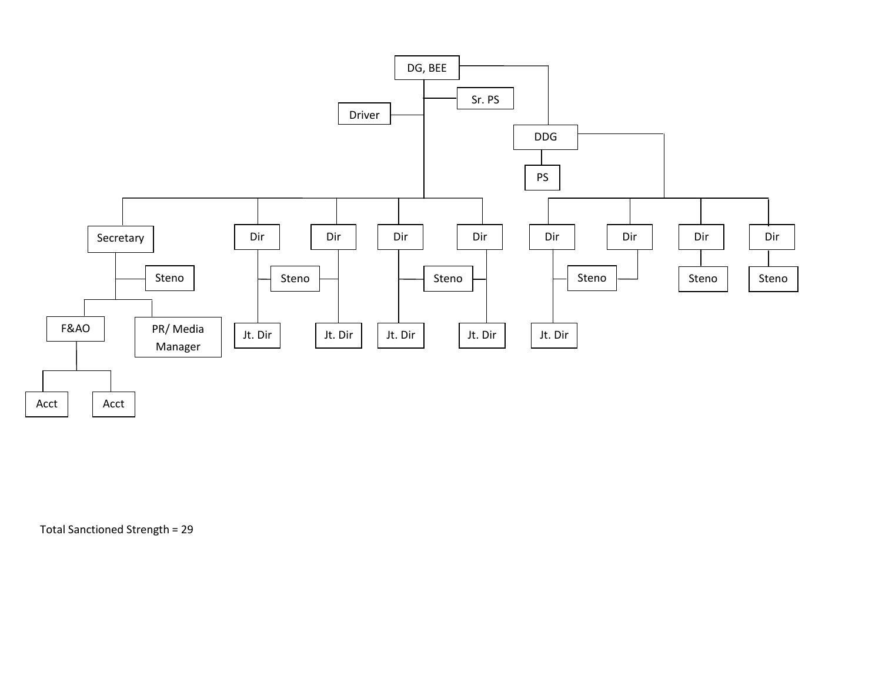

Total Sanctioned Strength = 29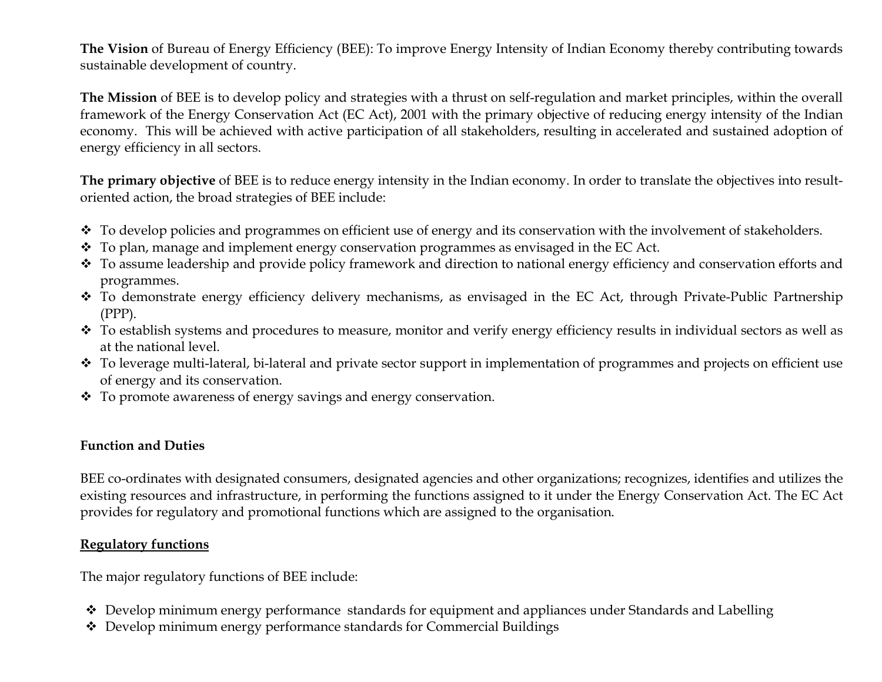The Vision of Bureau of Energy Efficiency (BEE): To improve Energy Intensity of Indian Economy thereby contributing towards sustainable development of country.

The Mission of BEE is to develop policy and strategies with a thrust on self-regulation and market principles, within the overall framework of the Energy Conservation Act (EC Act), 2001 with the primary objective of reducing energy intensity of the Indian economy. This will be achieved with active participation of all stakeholders, resulting in accelerated and sustained adoption of energy efficiency in all sectors.

The primary objective of BEE is to reduce energy intensity in the Indian economy. In order to translate the objectives into resultoriented action, the broad strategies of BEE include:

- $\bullet$  To develop policies and programmes on efficient use of energy and its conservation with the involvement of stakeholders.
- $\cdot$  To plan, manage and implement energy conservation programmes as envisaged in the EC Act.
- To assume leadership and provide policy framework and direction to national energy efficiency and conservation efforts and programmes.
- To demonstrate energy efficiency delivery mechanisms, as envisaged in the EC Act, through Private-Public Partnership (PPP).
- \* To establish systems and procedures to measure, monitor and verify energy efficiency results in individual sectors as well as at the national level.
- $\bullet$  To leverage multi-lateral, bi-lateral and private sector support in implementation of programmes and projects on efficient use of energy and its conservation.
- $\cdot$  To promote awareness of energy savings and energy conservation.

## Function and Duties

BEE co-ordinates with designated consumers, designated agencies and other organizations; recognizes, identifies and utilizes the existing resources and infrastructure, in performing the functions assigned to it under the Energy Conservation Act. The EC Act provides for regulatory and promotional functions which are assigned to the organisation.

## Regulatory functions

The major regulatory functions of BEE include:

- Develop minimum energy performance standards for equipment and appliances under Standards and Labelling
- Develop minimum energy performance standards for Commercial Buildings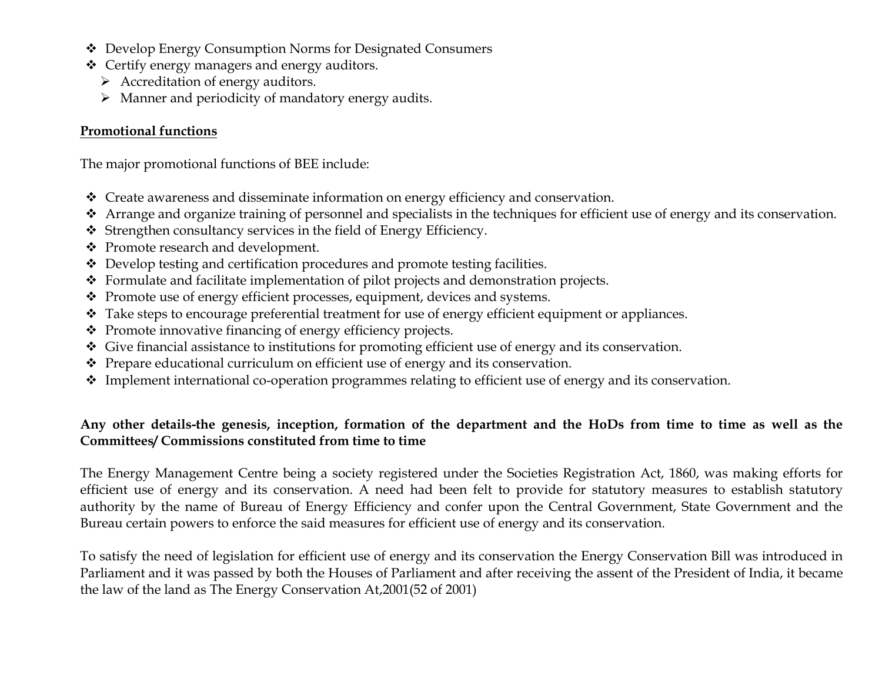- Develop Energy Consumption Norms for Designated Consumers
- Certify energy managers and energy auditors.
	- $\triangleright$  Accreditation of energy auditors.
	- $\triangleright$  Manner and periodicity of mandatory energy audits.

## Promotional functions

The major promotional functions of BEE include:

- Create awareness and disseminate information on energy efficiency and conservation.
- Arrange and organize training of personnel and specialists in the techniques for efficient use of energy and its conservation.
- $\triangleleft$  Strengthen consultancy services in the field of Energy Efficiency.
- Promote research and development.
- Develop testing and certification procedures and promote testing facilities.
- Formulate and facilitate implementation of pilot projects and demonstration projects.
- Promote use of energy efficient processes, equipment, devices and systems.
- \* Take steps to encourage preferential treatment for use of energy efficient equipment or appliances.
- $\triangle$  Promote innovative financing of energy efficiency projects.
- Give financial assistance to institutions for promoting efficient use of energy and its conservation.
- $\triangle$  Prepare educational curriculum on efficient use of energy and its conservation.
- $\cdot$  Implement international co-operation programmes relating to efficient use of energy and its conservation.

## Any other details-the genesis, inception, formation of the department and the HoDs from time to time as well as the Committees/ Commissions constituted from time to time

The Energy Management Centre being a society registered under the Societies Registration Act, 1860, was making efforts for efficient use of energy and its conservation. A need had been felt to provide for statutory measures to establish statutory authority by the name of Bureau of Energy Efficiency and confer upon the Central Government, State Government and the Bureau certain powers to enforce the said measures for efficient use of energy and its conservation.

To satisfy the need of legislation for efficient use of energy and its conservation the Energy Conservation Bill was introduced in Parliament and it was passed by both the Houses of Parliament and after receiving the assent of the President of India, it became the law of the land as The Energy Conservation At,2001(52 of 2001)